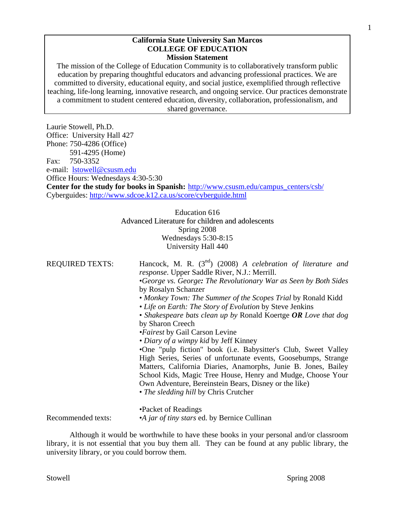#### **California State University San Marcos COLLEGE OF EDUCATION Mission Statement**

The mission of the College of Education Community is to collaboratively transform public education by preparing thoughtful educators and advancing professional practices. We are committed to diversity, educational equity, and social justice, exemplified through reflective teaching, life-long learning, innovative research, and ongoing service. Our practices demonstrate a commitment to student centered education, diversity, collaboration, professionalism, and shared governance.

Laurie Stowell, Ph.D. Office: University Hall 427 Phone: 750-4286 (Office) 591-4295 (Home) Fax: 750-3352 e-mail: lstowell@csusm.edu Office Hours: Wednesdays 4:30-5:30 **Center for the study for books in Spanish:** http://www.csusm.edu/campus\_centers/csb/ Cyberguides: http://www.sdcoe.k12.ca.us/score/cyberguide.html Education 616 Advanced Literature for children and adolescents

Spring 2008 Wednesdays 5:30-8:15 University Hall 440

REQUIRED TEXTS: Hancock, M. R. (3nd) (2008) *A celebration of literature and response*. Upper Saddle River, N.J.: Merrill. •*George vs. George: The Revolutionary War as Seen by Both Sides*

by Rosalyn Schanzer

- *Monkey Town: The Summer of the Scopes Trial* by Ronald Kidd
- *Life on Earth: The Story of Evolution* by Steve Jenkins
- *Shakespeare bats clean up by* Ronald Koertge *OR Love that dog*  by Sharon Creech
- *•Fairest* by Gail Carson Levine

*• Diary of a wimpy kid* by Jeff Kinney

•One "pulp fiction" book (i.e. Babysitter's Club, Sweet Valley High Series, Series of unfortunate events, Goosebumps, Strange Matters, California Diaries, Anamorphs, Junie B. Jones, Bailey School Kids, Magic Tree House, Henry and Mudge, Choose Your Own Adventure, Bereinstein Bears, Disney or the like) • *The sledding hill* by Chris Crutcher

 •Packet of Readings Recommended texts: •*A jar of tiny stars* ed. by Bernice Cullinan

Although it would be worthwhile to have these books in your personal and/or classroom library, it is not essential that you buy them all. They can be found at any public library, the university library, or you could borrow them.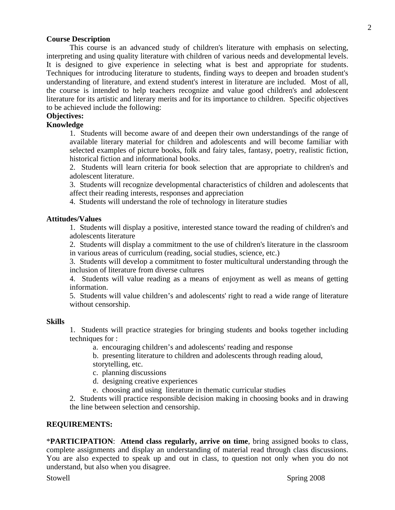### **Course Description**

 This course is an advanced study of children's literature with emphasis on selecting, interpreting and using quality literature with children of various needs and developmental levels. It is designed to give experience in selecting what is best and appropriate for students. Techniques for introducing literature to students, finding ways to deepen and broaden student's understanding of literature, and extend student's interest in literature are included. Most of all, the course is intended to help teachers recognize and value good children's and adolescent literature for its artistic and literary merits and for its importance to children. Specific objectives to be achieved include the following:

# **Objectives:**

# **Knowledge**

1. Students will become aware of and deepen their own understandings of the range of available literary material for children and adolescents and will become familiar with selected examples of picture books, folk and fairy tales, fantasy, poetry, realistic fiction, historical fiction and informational books.

2. Students will learn criteria for book selection that are appropriate to children's and adolescent literature.

3. Students will recognize developmental characteristics of children and adolescents that affect their reading interests, responses and appreciation

4. Students will understand the role of technology in literature studies

### **Attitudes/Values**

1. Students will display a positive, interested stance toward the reading of children's and adolescents literature

2. Students will display a commitment to the use of children's literature in the classroom in various areas of curriculum (reading, social studies, science, etc.)

3. Students will develop a commitment to foster multicultural understanding through the inclusion of literature from diverse cultures

4. Students will value reading as a means of enjoyment as well as means of getting information.

5. Students will value children's and adolescents' right to read a wide range of literature without censorship.

#### **Skills**

1. Students will practice strategies for bringing students and books together including techniques for :

a. encouraging children's and adolescents' reading and response

 b. presenting literature to children and adolescents through reading aloud, storytelling, etc.

c. planning discussions

d. designing creative experiences

e. choosing and using literature in thematic curricular studies

2. Students will practice responsible decision making in choosing books and in drawing the line between selection and censorship.

#### **REQUIREMENTS:**

\***PARTICIPATION**: **Attend class regularly, arrive on time**, bring assigned books to class, complete assignments and display an understanding of material read through class discussions. You are also expected to speak up and out in class, to question not only when you do not understand, but also when you disagree.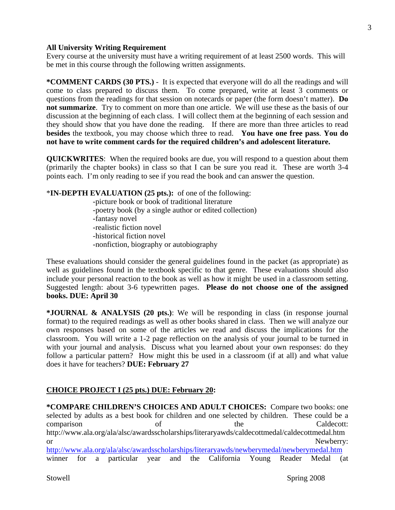### **All University Writing Requirement**

Every course at the university must have a writing requirement of at least 2500 words. This will be met in this course through the following written assignments.

**\*COMMENT CARDS (30 PTS.)** - It is expected that everyone will do all the readings and will come to class prepared to discuss them. To come prepared, write at least 3 comments or questions from the readings for that session on notecards or paper (the form doesn't matter). **Do not summarize**. Try to comment on more than one article. We will use these as the basis of our discussion at the beginning of each class. I will collect them at the beginning of each session and they should show that you have done the reading. If there are more than three articles to read **besides** the textbook, you may choose which three to read. **You have one free pass**. **You do not have to write comment cards for the required children's and adolescent literature.** 

**QUICKWRITES**: When the required books are due, you will respond to a question about them (primarily the chapter books) in class so that I can be sure you read it. These are worth 3-4 points each. I'm only reading to see if you read the book and can answer the question.

\***IN-DEPTH EVALUATION (25 pts.):** of one of the following: -picture book or book of traditional literature

 -poetry book (by a single author or edited collection) -fantasy novel -realistic fiction novel -historical fiction novel -nonfiction, biography or autobiography

These evaluations should consider the general guidelines found in the packet (as appropriate) as well as guidelines found in the textbook specific to that genre. These evaluations should also include your personal reaction to the book as well as how it might be used in a classroom setting. Suggested length: about 3-6 typewritten pages. **Please do not choose one of the assigned books. DUE: April 30** 

**\*JOURNAL & ANALYSIS (20 pts.)**: We will be responding in class (in response journal format) to the required readings as well as other books shared in class. Then we will analyze our own responses based on some of the articles we read and discuss the implications for the classroom. You will write a 1-2 page reflection on the analysis of your journal to be turned in with your journal and analysis. Discuss what you learned about your own responses: do they follow a particular pattern? How might this be used in a classroom (if at all) and what value does it have for teachers? **DUE: February 27** 

### **CHOICE PROJECT I (25 pts.) DUE: February 20:**

**\*COMPARE CHILDREN'S CHOICES AND ADULT CHOICES:** Compare two books: one selected by adults as a best book for children and one selected by children. These could be a comparison of the Caldecott: http://www.ala.org/ala/alsc/awardsscholarships/literaryawds/caldecottmedal/caldecottmedal.htm or Newberry: http://www.ala.org/ala/alsc/awardsscholarships/literaryawds/newberymedal/newberymedal.htm winner for a particular year and the California Young Reader Medal (at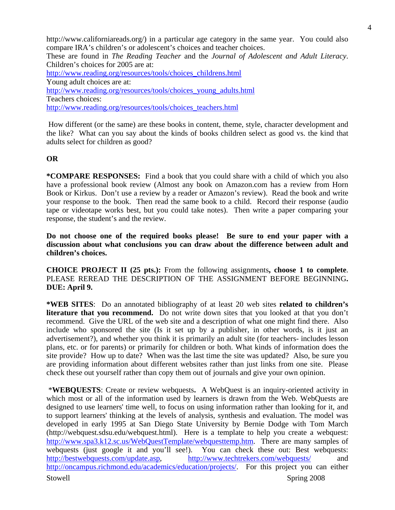http://www.californiareads.org/) in a particular age category in the same year. You could also compare IRA's children's or adolescent's choices and teacher choices.

These are found in *The Reading Teacher* and the *Journal of Adolescent and Adult Literacy*. Children's choices for 2005 are at:

http://www.reading.org/resources/tools/choices\_childrens.html Young adult choices are at: http://www.reading.org/resources/tools/choices\_young\_adults.html Teachers choices: http://www.reading.org/resources/tools/choices\_teachers.html

 How different (or the same) are these books in content, theme, style, character development and the like? What can you say about the kinds of books children select as good vs. the kind that adults select for children as good?

### **OR**

**\*COMPARE RESPONSES:** Find a book that you could share with a child of which you also have a professional book review (Almost any book on Amazon.com has a review from Horn Book or Kirkus. Don't use a review by a reader or Amazon's review).Read the book and write your response to the book. Then read the same book to a child. Record their response (audio tape or videotape works best, but you could take notes). Then write a paper comparing your response, the student's and the review.

**Do not choose one of the required books please! Be sure to end your paper with a discussion about what conclusions you can draw about the difference between adult and children's choices.** 

**CHOICE PROJECT II (25 pts.):** From the following assignments**, choose 1 to complete**. PLEASE REREAD THE DESCRIPTION OF THE ASSIGNMENT BEFORE BEGINNING**. DUE: April 9.** 

**\*WEB SITES**: Do an annotated bibliography of at least 20 web sites **related to children's literature that you recommend.** Do not write down sites that you looked at that you don't recommend. Give the URL of the web site and a description of what one might find there. Also include who sponsored the site (Is it set up by a publisher, in other words, is it just an advertisement?), and whether you think it is primarily an adult site (for teachers- includes lesson plans, etc. or for parents) or primarily for children or both. What kinds of information does the site provide? How up to date? When was the last time the site was updated? Also, be sure you are providing information about different websites rather than just links from one site. Please check these out yourself rather than copy them out of journals and give your own opinion.

Stowell Stowell Spring 2008 \***WEBQUESTS**: Create or review webquests**.** A WebQuest is an inquiry-oriented activity in which most or all of the information used by learners is drawn from the Web. WebQuests are designed to use learners' time well, to focus on using information rather than looking for it, and to support learners' thinking at the levels of analysis, synthesis and evaluation. The model was developed in early 1995 at San Diego State University by Bernie Dodge with Tom March (http://webquest.sdsu.edu/webquest.html). Here is a template to help you create a webquest: http://www.spa3.k12.sc.us/WebQuestTemplate/webquesttemp.htm. There are many samples of webquests (just google it and you'll see!). You can check these out: Best webquests: http://bestwebquests.com/update.asp, http://www.techtrekers.com/webquests/ and http://oncampus.richmond.edu/academics/education/projects/. For this project you can either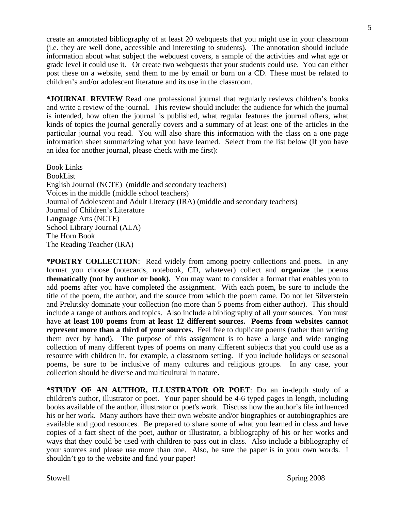create an annotated bibliography of at least 20 webquests that you might use in your classroom (i.e. they are well done, accessible and interesting to students). The annotation should include information about what subject the webquest covers, a sample of the activities and what age or grade level it could use it. Or create two webquests that your students could use. You can either post these on a website, send them to me by email or burn on a CD. These must be related to children's and/or adolescent literature and its use in the classroom.

**\*JOURNAL REVIEW** Read one professional journal that regularly reviews children's books and write a review of the journal. This review should include: the audience for which the journal is intended, how often the journal is published, what regular features the journal offers, what kinds of topics the journal generally covers and a summary of at least one of the articles in the particular journal you read. You will also share this information with the class on a one page information sheet summarizing what you have learned. Select from the list below (If you have an idea for another journal, please check with me first):

Book Links BookList English Journal (NCTE) (middle and secondary teachers) Voices in the middle (middle school teachers) Journal of Adolescent and Adult Literacy (IRA) (middle and secondary teachers) Journal of Children's Literature Language Arts (NCTE) School Library Journal (ALA) The Horn Book The Reading Teacher (IRA)

**\*POETRY COLLECTION**: Read widely from among poetry collections and poets. In any format you choose (notecards, notebook, CD, whatever) collect and **organize** the poems **thematically (not by author or book).** You may want to consider a format that enables you to add poems after you have completed the assignment. With each poem, be sure to include the title of the poem, the author, and the source from which the poem came. Do not let Silverstein and Prelutsky dominate your collection (no more than 5 poems from either author). This should include a range of authors and topics. Also include a bibliography of all your sources. You must have **at least 100 poems** from **at least 12 different sources. Poems from websites cannot represent more than a third of your sources.** Feel free to duplicate poems (rather than writing them over by hand). The purpose of this assignment is to have a large and wide ranging collection of many different types of poems on many different subjects that you could use as a resource with children in, for example, a classroom setting. If you include holidays or seasonal poems, be sure to be inclusive of many cultures and religious groups. In any case, your collection should be diverse and multicultural in nature.

**\*STUDY OF AN AUTHOR, ILLUSTRATOR OR POET**: Do an in-depth study of a children's author, illustrator or poet. Your paper should be 4-6 typed pages in length, including books available of the author, illustrator or poet's work. Discuss how the author's life influenced his or her work. Many authors have their own website and/or biographies or autobiographies are available and good resources. Be prepared to share some of what you learned in class and have copies of a fact sheet of the poet, author or illustrator, a bibliography of his or her works and ways that they could be used with children to pass out in class. Also include a bibliography of your sources and please use more than one. Also, be sure the paper is in your own words. I shouldn't go to the website and find your paper!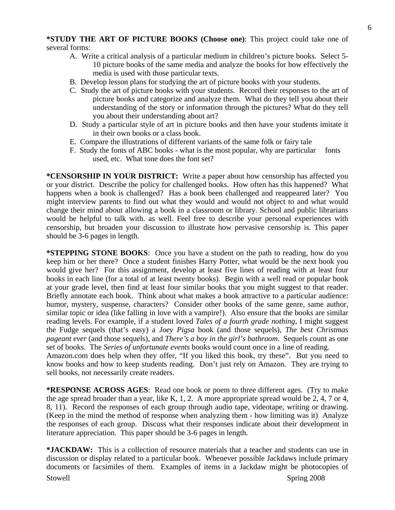### **\*STUDY THE ART OF PICTURE BOOKS (Choose one)**: This project could take one of several forms:

- A. Write a critical analysis of a particular medium in children's picture books. Select 5- 10 picture books of the same media and analyze the books for how effectively the media is used with those particular texts.
- B. Develop lesson plans for studying the art of picture books with your students.
- C. Study the art of picture books with your students. Record their responses to the art of picture books and categorize and analyze them. What do they tell you about their understanding of the story or information through the pictures? What do they tell you about their understanding about art?
- D. Study a particular style of art in picture books and then have your students imitate it in their own books or a class book.
- E. Compare the illustrations of different variants of the same folk or fairy tale
- F. Study the fonts of ABC books what is the most popular, why are particular fonts used, etc. What tone does the font set?

**\*CENSORSHIP IN YOUR DISTRICT:** Write a paper about how censorship has affected you or your district. Describe the policy for challenged books. How often has this happened? What happens when a book is challenged? Has a book been challenged and reappeared later? You might interview parents to find out what they would and would not object to and what would change their mind about allowing a book in a classroom or library. School and public librarians would be helpful to talk with. as well. Feel free to describe your personal experiences with censorship, but broaden your discussion to illustrate how pervasive censorship is. This paper should be 3-6 pages in length.

**\*STEPPING STONE BOOKS**: Once you have a student on the path to reading, how do you keep him or her there? Once a student finishes Harry Potter, what would be the next book you would give her? For this assignment, develop at least five lines of reading with at least four books in each line (for a total of at least twenty books). Begin with a well read or popular book at your grade level, then find at least four similar books that you might suggest to that reader. Briefly annotate each book. Think about what makes a book attractive to a particular audience: humor, mystery, suspense, characters? Consider other books of the same genre, same author, similar topic or idea (like falling in love with a vampire!). Also ensure that the books are similar reading levels. For example, if a student loved *Tales of a fourth grade nothing*, I might suggest the Fudge sequels (that's easy) a *Joey Pigsa* book (and those sequels), *The best Christmas pageant ever* (and those sequels), and *There's a boy in the girl's bathroom*. Sequels count as one set of books. The *Series of unfortunate events* books would count once in a line of reading.

Amazon.com does help when they offer, "If you liked this book, try these". But you need to know books and how to keep students reading. Don't just rely on Amazon. They are trying to sell books, not necessarily create readers.

**\*RESPONSE ACROSS AGES**: Read one book or poem to three different ages. (Try to make the age spread broader than a year, like K, 1, 2. A more appropriate spread would be 2, 4, 7 or 4, 8, 11). Record the responses of each group through audio tape, videotape, writing or drawing. (Keep in the mind the method of response when analyzing them - how limiting was it) Analyze the responses of each group. Discuss what their responses indicate about their development in literature appreciation. This paper should be 3-6 pages in length.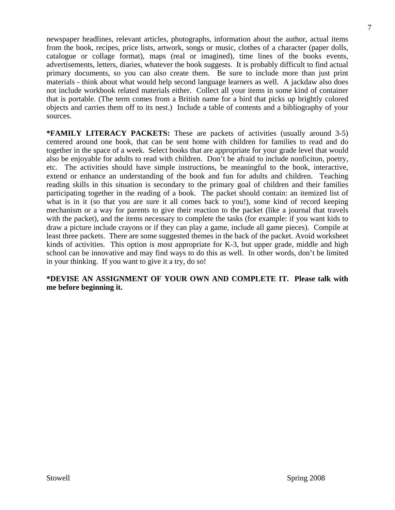newspaper headlines, relevant articles, photographs, information about the author, actual items from the book, recipes, price lists, artwork, songs or music, clothes of a character (paper dolls, catalogue or collage format), maps (real or imagined), time lines of the books events, advertisements, letters, diaries, whatever the book suggests. It is probably difficult to find actual primary documents, so you can also create them. Be sure to include more than just print materials - think about what would help second language learners as well. A jackdaw also does not include workbook related materials either. Collect all your items in some kind of container that is portable. (The term comes from a British name for a bird that picks up brightly colored objects and carries them off to its nest.) Include a table of contents and a bibliography of your sources.

**\*FAMILY LITERACY PACKETS:** These are packets of activities (usually around 3-5) centered around one book, that can be sent home with children for families to read and do together in the space of a week. Select books that are appropriate for your grade level that would also be enjoyable for adults to read with children. Don't be afraid to include nonficiton, poetry, etc. The activities should have simple instructions, be meaningful to the book, interactive, extend or enhance an understanding of the book and fun for adults and children. Teaching reading skills in this situation is secondary to the primary goal of children and their families participating together in the reading of a book. The packet should contain: an itemized list of what is in it (so that you are sure it all comes back to you!), some kind of record keeping mechanism or a way for parents to give their reaction to the packet (like a journal that travels with the packet), and the items necessary to complete the tasks (for example: if you want kids to draw a picture include crayons or if they can play a game, include all game pieces). Compile at least three packets. There are some suggested themes in the back of the packet. Avoid worksheet kinds of activities. This option is most appropriate for K-3, but upper grade, middle and high school can be innovative and may find ways to do this as well. In other words, don't be limited in your thinking. If you want to give it a try, do so!

**\*DEVISE AN ASSIGNMENT OF YOUR OWN AND COMPLETE IT. Please talk with me before beginning it.**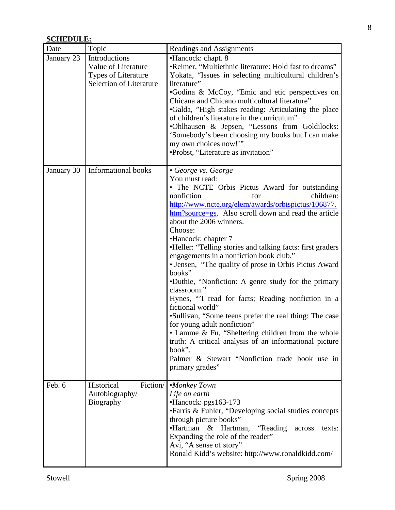# **SCHEDULE:**

| Date       | Topic                                                                                  | Readings and Assignments                                                                                                                                                                                                                                                                                                                                                                                                                                                                                                                                                                                                                                                                                                                                                                                                                                                                                               |  |  |
|------------|----------------------------------------------------------------------------------------|------------------------------------------------------------------------------------------------------------------------------------------------------------------------------------------------------------------------------------------------------------------------------------------------------------------------------------------------------------------------------------------------------------------------------------------------------------------------------------------------------------------------------------------------------------------------------------------------------------------------------------------------------------------------------------------------------------------------------------------------------------------------------------------------------------------------------------------------------------------------------------------------------------------------|--|--|
| January 23 | Introductions<br>Value of Literature<br>Types of Literature<br>Selection of Literature | •Hancock: chapt. 8<br>•Reimer, "Multiethnic literature: Hold fast to dreams"<br>Yokata, "Issues in selecting multicultural children's<br>literature"<br>•Godina & McCoy, "Emic and etic perspectives on<br>Chicana and Chicano multicultural literature"<br>•Galda, "High stakes reading: Articulating the place<br>of children's literature in the curriculum"<br>.Ohlhausen & Jepsen, "Lessons from Goldilocks:<br>'Somebody's been choosing my books but I can make<br>my own choices now!"<br>•Probst, "Literature as invitation"                                                                                                                                                                                                                                                                                                                                                                                  |  |  |
| January 30 | Informational books                                                                    | • George vs. George<br>You must read:<br>• The NCTE Orbis Pictus Award for outstanding<br>children:<br>nonfiction<br>for<br>http://www.ncte.org/elem/awards/orbispictus/106877.<br>htm?source=gs. Also scroll down and read the article<br>about the 2006 winners.<br>Choose:<br>•Hancock: chapter 7<br>•Heller: "Telling stories and talking facts: first graders<br>engagements in a nonfiction book club."<br>• Jensen, "The quality of prose in Orbis Pictus Award<br>books"<br>•Duthie, "Nonfiction: A genre study for the primary<br>classroom."<br>Hynes, "I read for facts; Reading nonfiction in a<br>fictional world"<br>•Sullivan, "Some teens prefer the real thing: The case<br>for young adult nonfiction"<br>• Lamme & Fu, "Sheltering children from the whole<br>truth: A critical analysis of an informational picture<br>book".<br>Palmer & Stewart "Nonfiction trade book use in<br>primary grades" |  |  |
| Feb. 6     | Historical<br>Fiction/<br>Autobiography/<br><b>Biography</b>                           | •Monkey Town<br>Life on earth<br>$\cdot$ Hancock: pgs163-173<br>• Farris & Fuhler, "Developing social studies concepts<br>through picture books"<br>•Hartman<br>"Reading"<br>$\&$<br>Hartman,<br>texts:<br>across<br>Expanding the role of the reader"<br>Avi, "A sense of story"<br>Ronald Kidd's website: http://www.ronaldkidd.com/                                                                                                                                                                                                                                                                                                                                                                                                                                                                                                                                                                                 |  |  |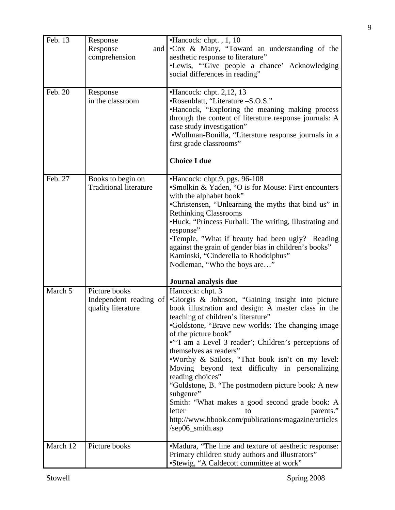| Feb. 13  | Response                                | •Hancock: chpt., 1, 10                                                          |  |  |
|----------|-----------------------------------------|---------------------------------------------------------------------------------|--|--|
|          | Response<br>and                         | •Cox & Many, "Toward an understanding of the                                    |  |  |
|          | comprehension                           | aesthetic response to literature"                                               |  |  |
|          |                                         | •Lewis, "Give people a chance' Acknowledging                                    |  |  |
|          |                                         | social differences in reading"                                                  |  |  |
|          |                                         |                                                                                 |  |  |
| Feb. 20  | Response                                | $\bullet$ Hancock: chpt. 2,12, 13                                               |  |  |
|          | in the classroom                        | •Rosenblatt, "Literature -S.O.S."                                               |  |  |
|          |                                         | •Hancock, "Exploring the meaning making process                                 |  |  |
|          |                                         | through the content of literature response journals: A                          |  |  |
|          |                                         | case study investigation"                                                       |  |  |
|          |                                         | •Wollman-Bonilla, "Literature response journals in a                            |  |  |
|          |                                         | first grade classrooms"                                                         |  |  |
|          |                                         | <b>Choice I due</b>                                                             |  |  |
|          |                                         |                                                                                 |  |  |
| Feb. 27  | Books to begin on                       | •Hancock: chpt.9, pgs. 96-108                                                   |  |  |
|          | <b>Traditional literature</b>           | •Smolkin & Yaden, "O is for Mouse: First encounters                             |  |  |
|          |                                         | with the alphabet book"<br>•Christensen, "Unlearning the myths that bind us" in |  |  |
|          |                                         | <b>Rethinking Classrooms</b>                                                    |  |  |
|          |                                         | •Huck, "Princess Furball: The writing, illustrating and                         |  |  |
|          |                                         | response"                                                                       |  |  |
|          |                                         | •Temple, "What if beauty had been ugly? Reading                                 |  |  |
|          |                                         | against the grain of gender bias in children's books"                           |  |  |
|          |                                         | Kaminski, "Cinderella to Rhodolphus"                                            |  |  |
|          |                                         | Nodleman, "Who the boys are"                                                    |  |  |
|          |                                         |                                                                                 |  |  |
| March 5  |                                         | Journal analysis due                                                            |  |  |
|          | Picture books<br>Independent reading of | Hancock: chpt. 3<br>•Giorgis & Johnson, "Gaining insight into picture           |  |  |
|          | quality literature                      | book illustration and design: A master class in the                             |  |  |
|          |                                         | teaching of children's literature"                                              |  |  |
|          |                                         | •Goldstone, "Brave new worlds: The changing image                               |  |  |
|          |                                         | of the picture book"                                                            |  |  |
|          |                                         | •"'I am a Level 3 reader'; Children's perceptions of                            |  |  |
|          |                                         | themselves as readers"                                                          |  |  |
|          |                                         | . Worthy & Sailors, "That book isn't on my level:                               |  |  |
|          |                                         | Moving beyond text difficulty in personalizing                                  |  |  |
|          |                                         | reading choices"                                                                |  |  |
|          |                                         | "Goldstone, B. "The postmodern picture book: A new                              |  |  |
|          |                                         | subgenre"                                                                       |  |  |
|          |                                         | Smith: "What makes a good second grade book: A                                  |  |  |
|          |                                         | letter<br>parents."<br>to                                                       |  |  |
|          |                                         | http://www.hbook.com/publications/magazine/articles                             |  |  |
|          |                                         | /sep06_smith.asp                                                                |  |  |
| March 12 | Picture books                           | •Madura, "The line and texture of aesthetic response:                           |  |  |
|          |                                         | Primary children study authors and illustrators"                                |  |  |
|          |                                         | •Stewig, "A Caldecott committee at work"                                        |  |  |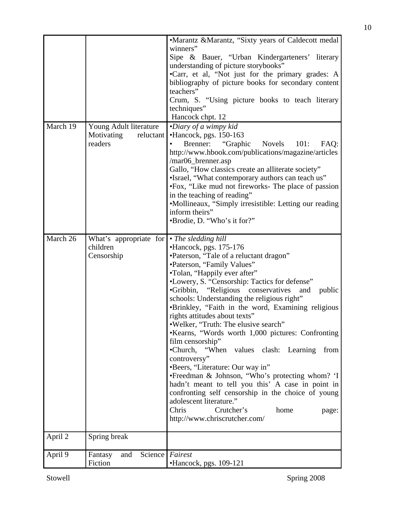|          |                                                   | •Marantz &Marantz, "Sixty years of Caldecott medal<br>winners"                                                                              |  |  |  |
|----------|---------------------------------------------------|---------------------------------------------------------------------------------------------------------------------------------------------|--|--|--|
|          |                                                   | Sipe & Bauer, "Urban Kindergarteners' literary<br>understanding of picture storybooks"<br>•Carr, et al, "Not just for the primary grades: A |  |  |  |
|          |                                                   |                                                                                                                                             |  |  |  |
|          |                                                   | bibliography of picture books for secondary content<br>teachers"                                                                            |  |  |  |
|          |                                                   | Crum, S. "Using picture books to teach literary                                                                                             |  |  |  |
|          |                                                   | techniques"<br>Hancock chpt. 12                                                                                                             |  |  |  |
| March 19 | Young Adult literature<br>Motivating<br>reluctant | •Diary of a wimpy kid<br>•Hancock, pgs. 150-163                                                                                             |  |  |  |
|          | readers                                           | "Graphic"<br><b>Novels</b><br>101:<br>Brenner:<br>FAQ:                                                                                      |  |  |  |
|          |                                                   | http://www.hbook.com/publications/magazine/articles<br>/mar06_brenner.asp                                                                   |  |  |  |
|          |                                                   | Gallo, "How classics create an alliterate society"                                                                                          |  |  |  |
|          |                                                   | •Israel, "What contemporary authors can teach us"<br>•Fox, "Like mud not fireworks- The place of passion                                    |  |  |  |
|          |                                                   | in the teaching of reading"                                                                                                                 |  |  |  |
|          |                                                   | •Mollineaux, "Simply irresistible: Letting our reading                                                                                      |  |  |  |
|          |                                                   | inform theirs"<br>•Brodie, D. "Who's it for?"                                                                                               |  |  |  |
|          |                                                   |                                                                                                                                             |  |  |  |
| March 26 | What's appropriate for<br>children                | • The sledding hill<br>•Hancock, pgs. 175-176                                                                                               |  |  |  |
|          | Censorship                                        | •Paterson, "Tale of a reluctant dragon"                                                                                                     |  |  |  |
|          |                                                   | •Paterson, "Family Values"<br>•Tolan, "Happily ever after"                                                                                  |  |  |  |
|          |                                                   | •Lowery, S. "Censorship: Tactics for defense"                                                                                               |  |  |  |
|          |                                                   | "Religious conservatives"<br>•Gribbin,<br>and<br>public<br>schools: Understanding the religious right"                                      |  |  |  |
|          |                                                   | •Brinkley, "Faith in the word, Examining religious<br>rights attitudes about texts"                                                         |  |  |  |
|          |                                                   | .Welker, "Truth: The elusive search"                                                                                                        |  |  |  |
|          |                                                   | •Kearns, "Words worth 1,000 pictures: Confronting<br>film censorship"                                                                       |  |  |  |
|          |                                                   | •Church, "When<br>values clash: Learning<br>from                                                                                            |  |  |  |
|          |                                                   | controversy"                                                                                                                                |  |  |  |
|          |                                                   | •Beers, "Literature: Our way in"<br>•Freedman & Johnson, "Who's protecting whom? 'I                                                         |  |  |  |
|          |                                                   | hadn't meant to tell you this' A case in point in                                                                                           |  |  |  |
|          |                                                   | confronting self censorship in the choice of young<br>adolescent literature."                                                               |  |  |  |
|          |                                                   | Chris<br>Crutcher's<br>home<br>page:                                                                                                        |  |  |  |
|          |                                                   | http://www.chriscrutcher.com/                                                                                                               |  |  |  |
| April 2  | Spring break                                      |                                                                                                                                             |  |  |  |
| April 9  | Science<br>Fantasy<br>and                         | Fairest                                                                                                                                     |  |  |  |
|          | Fiction                                           | •Hancock, pgs. 109-121                                                                                                                      |  |  |  |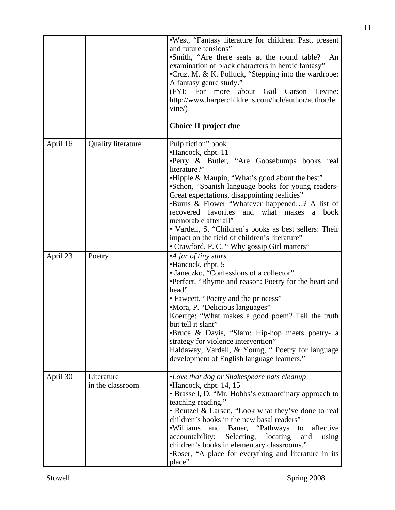|          |                                | .West, "Fantasy literature for children: Past, present<br>and future tensions"<br>•Smith, "Are there seats at the round table?<br>An<br>examination of black characters in heroic fantasy"<br>•Cruz, M. & K. Polluck, "Stepping into the wardrobe:<br>A fantasy genre study."<br>(FYI: For more about<br>Gail Carson<br>Levine:<br>http://www.harperchildrens.com/hch/author/author/le<br>vine/<br>Choice II project due                                                                                                                                       |
|----------|--------------------------------|----------------------------------------------------------------------------------------------------------------------------------------------------------------------------------------------------------------------------------------------------------------------------------------------------------------------------------------------------------------------------------------------------------------------------------------------------------------------------------------------------------------------------------------------------------------|
| April 16 | <b>Quality literature</b>      | Pulp fiction" book<br>•Hancock, chpt. 11<br>•Perry & Butler, "Are Goosebumps books real<br>literature?"<br>•Hipple & Maupin, "What's good about the best"<br>•Schon, "Spanish language books for young readers-<br>Great expectations, disappointing realities"<br>•Burns & Flower "Whatever happened? A list of<br>recovered favorites<br>what<br>makes<br>and<br>book<br>a<br>memorable after all"<br>• Vardell, S. "Children's books as best sellers: Their<br>impact on the field of children's literature"<br>• Crawford, P. C. "Why gossip Girl matters" |
| April 23 | Poetry                         | •A jar of tiny stars<br>•Hancock, chpt. 5<br>• Janeczko, "Confessions of a collector"<br>•Perfect, "Rhyme and reason: Poetry for the heart and<br>head"<br>• Fawcett, "Poetry and the princess"<br>•Mora, P. "Delicious languages"<br>Koertge: "What makes a good poem? Tell the truth<br>but tell it slant'<br>•Bruce & Davis, "Slam: Hip-hop meets poetry- a<br>strategy for violence intervention"<br>Haldaway, Vardell, & Young, "Poetry for language<br>development of English language learners."                                                        |
| April 30 | Literature<br>in the classroom | •Love that dog or Shakespeare bats cleanup<br>•Hancock, chpt. 14, 15<br>• Brassell, D. "Mr. Hobbs's extraordinary approach to<br>teaching reading."<br>• Reutzel & Larsen, "Look what they've done to real<br>children's books in the new basal readers"<br>•Williams<br>"Pathways"<br>affective<br>and<br>Bauer,<br>to<br>accountability:<br>Selecting,<br>locating<br>and<br>using<br>children's books in elementary classrooms."<br>•Roser, "A place for everything and literature in its<br>place"                                                         |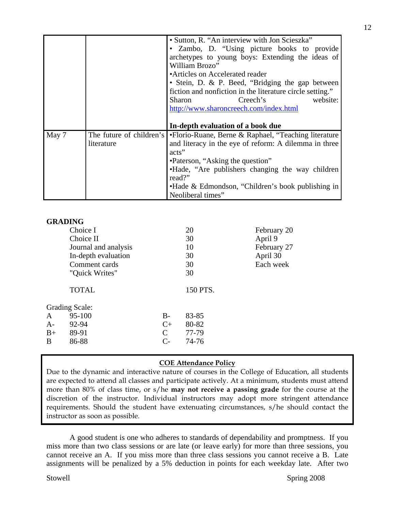|       |            | • Sutton, R. "An interview with Jon Scieszka"                                  |  |  |  |
|-------|------------|--------------------------------------------------------------------------------|--|--|--|
|       |            | • Zambo, D. "Using picture books to provide                                    |  |  |  |
|       |            | archetypes to young boys: Extending the ideas of                               |  |  |  |
|       |            | William Brozo"                                                                 |  |  |  |
|       |            | • Articles on Accelerated reader                                               |  |  |  |
|       |            | • Stein, D. & P. Beed, "Bridging the gap between                               |  |  |  |
|       |            | fiction and nonfiction in the literature circle setting."                      |  |  |  |
|       |            | website:<br>Creech's<br>Sharon                                                 |  |  |  |
|       |            | http://www.sharoncreech.com/index.html                                         |  |  |  |
|       |            |                                                                                |  |  |  |
|       |            | In-depth evaluation of a book due                                              |  |  |  |
| May 7 |            | The future of children's •Florio-Ruane, Berne & Raphael, "Teaching literature" |  |  |  |
|       | literature | and literacy in the eye of reform: A dilemma in three                          |  |  |  |
|       |            | acts"                                                                          |  |  |  |
|       |            | •Paterson, "Asking the question"                                               |  |  |  |
|       |            | •Hade, "Are publishers changing the way children                               |  |  |  |
|       |            | read?"                                                                         |  |  |  |
|       |            | • Hade & Edmondson, "Children's book publishing in                             |  |  |  |
|       |            | Neoliberal times"                                                              |  |  |  |

#### **GRADING**

|      | Choice I              |               | 20       | February 20 |
|------|-----------------------|---------------|----------|-------------|
|      | Choice II             |               | 30       | April 9     |
|      | Journal and analysis  |               | 10       | February 27 |
|      | In-depth evaluation   |               | 30       | April 30    |
|      | Comment cards         |               | 30       | Each week   |
|      | "Quick Writes"        |               | 30       |             |
|      | <b>TOTAL</b>          |               | 150 PTS. |             |
|      | <b>Grading Scale:</b> |               |          |             |
| A    | 95-100                | $B -$         | 83-85    |             |
| A-   | 92-94                 | $C+$          | 80-82    |             |
| $B+$ | 89-91                 | $\mathcal{C}$ | 77-79    |             |
| B    | 86-88                 | $C-$          | 74-76    |             |
|      |                       |               |          |             |

### **COE Attendance Policy**

Due to the dynamic and interactive nature of courses in the College of Education, all students are expected to attend all classes and participate actively. At a minimum, students must attend more than 80% of class time, or s/he **may not receive a passing grade** for the course at the discretion of the instructor. Individual instructors may adopt more stringent attendance requirements. Should the student have extenuating circumstances, s/he should contact the instructor as soon as possible.

 A good student is one who adheres to standards of dependability and promptness. If you miss more than two class sessions or are late (or leave early) for more than three sessions, you cannot receive an A. If you miss more than three class sessions you cannot receive a B. Late assignments will be penalized by a 5% deduction in points for each weekday late. After two